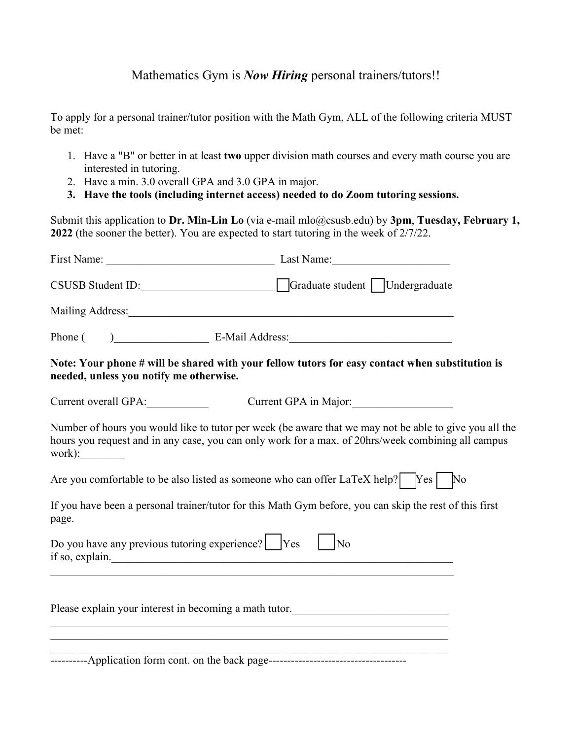## Mathematics Gym is *Now Hiring* personal trainers/tutors!!

To apply for a personal trainer/tutor position with the Math Gym, ALL of the following criteria MUST be met:

- 1. Have a "B" or better in at least **two** upper division math courses and every math course you are interested in tutoring.
- 2. Have a min. 3.0 overall GPA and 3.0 GPA in major.
- **3. Have the tools (including internet access) needed to do Zoom tutoring sessions.**

Submit this application to **Dr. Min-Lin Lo** (via e-mail mlo@csusb.edu) by **3pm**, **Tuesday, February 1, 2022** (the sooner the better). You are expected to start tutoring in the week of 2/7/22.

|                                                                                                              | CSUSB Student ID: CSUSB Student ID:                                                                                                                                                                          |  |
|--------------------------------------------------------------------------------------------------------------|--------------------------------------------------------------------------------------------------------------------------------------------------------------------------------------------------------------|--|
|                                                                                                              |                                                                                                                                                                                                              |  |
|                                                                                                              |                                                                                                                                                                                                              |  |
| needed, unless you notify me otherwise.                                                                      | Note: Your phone # will be shared with your fellow tutors for easy contact when substitution is                                                                                                              |  |
| Current overall GPA:                                                                                         | Current GPA in Major:                                                                                                                                                                                        |  |
|                                                                                                              | Number of hours you would like to tutor per week (be aware that we may not be able to give you all the<br>hours you request and in any case, you can only work for a max. of 20hrs/week combining all campus |  |
|                                                                                                              | Are you comfortable to be also listed as someone who can offer LaTeX help? $\begin{bmatrix} \n\text{Yes} \mid & \text{No} \n\end{bmatrix}$                                                                   |  |
| page.                                                                                                        | If you have been a personal trainer/tutor for this Math Gym before, you can skip the rest of this first                                                                                                      |  |
| Do you have any previous tutoring experience? $\begin{bmatrix} Y_{\text{es}} \\ Z_{\text{es}} \end{bmatrix}$ | $\vert$ No<br>if so, explain.                                                                                                                                                                                |  |
|                                                                                                              | Please explain your interest in becoming a math tutor.<br>,我们也不会有什么。""我们的人,我们也不会有什么?""我们的人,我们也不会有什么?""我们的人,我们也不会有什么?""我们的人,我们也不会有什么?""我们的人                                                                   |  |
|                                                                                                              |                                                                                                                                                                                                              |  |